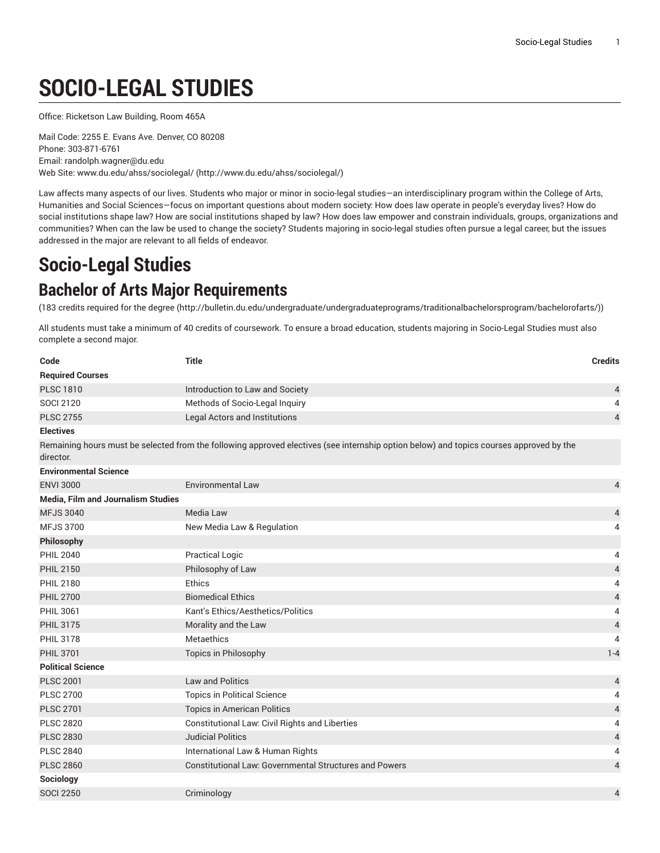# **SOCIO-LEGAL STUDIES**

Office: Ricketson Law Building, Room 465A

Mail Code: 2255 E. Evans Ave. Denver, CO 80208 Phone: 303-871-6761 Email: randolph.wagner@du.edu Web Site: [www.du.edu/ahss/sociolegal/](http://www.du.edu/ahss/sociolegal/) (<http://www.du.edu/ahss/sociolegal/>)

Law affects many aspects of our lives. Students who major or minor in socio-legal studies—an interdisciplinary program within the College of Arts, Humanities and Social Sciences—focus on important questions about modern society: How does law operate in people's everyday lives? How do social institutions shape law? How are social institutions shaped by law? How does law empower and constrain individuals, groups, organizations and communities? When can the law be used to change the society? Students majoring in socio-legal studies often pursue a legal career, but the issues addressed in the major are relevant to all fields of endeavor.

# **Socio-Legal Studies**

# **Bachelor of Arts Major Requirements**

(183 credits [required](http://bulletin.du.edu/undergraduate/undergraduateprograms/traditionalbachelorsprogram/bachelorofarts/) for the degree ([http://bulletin.du.edu/undergraduate/undergraduateprograms/traditionalbachelorsprogram/bachelorofarts/\)](http://bulletin.du.edu/undergraduate/undergraduateprograms/traditionalbachelorsprogram/bachelorofarts/))

All students must take a minimum of 40 credits of coursework. To ensure a broad education, students majoring in Socio-Legal Studies must also complete a second major.

| Code                                      | <b>Title</b>                                                                                                                            | <b>Credits</b>           |
|-------------------------------------------|-----------------------------------------------------------------------------------------------------------------------------------------|--------------------------|
| <b>Required Courses</b>                   |                                                                                                                                         |                          |
| <b>PLSC 1810</b>                          | Introduction to Law and Society                                                                                                         | 4                        |
| <b>SOCI 2120</b>                          | Methods of Socio-Legal Inquiry                                                                                                          | 4                        |
| <b>PLSC 2755</b>                          | <b>Legal Actors and Institutions</b>                                                                                                    | $\overline{4}$           |
| <b>Electives</b>                          |                                                                                                                                         |                          |
| director.                                 | Remaining hours must be selected from the following approved electives (see internship option below) and topics courses approved by the |                          |
| <b>Environmental Science</b>              |                                                                                                                                         |                          |
| <b>ENVI 3000</b>                          | <b>Environmental Law</b>                                                                                                                | 4                        |
| <b>Media, Film and Journalism Studies</b> |                                                                                                                                         |                          |
| <b>MFJS 3040</b>                          | Media Law                                                                                                                               | 4                        |
| <b>MFJS 3700</b>                          | New Media Law & Regulation                                                                                                              | 4                        |
| Philosophy                                |                                                                                                                                         |                          |
| <b>PHIL 2040</b>                          | <b>Practical Logic</b>                                                                                                                  | 4                        |
| <b>PHIL 2150</b>                          | Philosophy of Law                                                                                                                       | $\overline{\mathcal{L}}$ |
| <b>PHIL 2180</b>                          | Ethics                                                                                                                                  | 4                        |
| <b>PHIL 2700</b>                          | <b>Biomedical Ethics</b>                                                                                                                | $\overline{a}$           |
| <b>PHIL 3061</b>                          | Kant's Ethics/Aesthetics/Politics                                                                                                       | 4                        |
| <b>PHIL 3175</b>                          | Morality and the Law                                                                                                                    | $\overline{4}$           |
| <b>PHIL 3178</b>                          | Metaethics                                                                                                                              | $\overline{4}$           |
| <b>PHIL 3701</b>                          | Topics in Philosophy                                                                                                                    | $1 - 4$                  |
| <b>Political Science</b>                  |                                                                                                                                         |                          |
| <b>PLSC 2001</b>                          | <b>Law and Politics</b>                                                                                                                 | 4                        |
| <b>PLSC 2700</b>                          | <b>Topics in Political Science</b>                                                                                                      | 4                        |
| <b>PLSC 2701</b>                          | <b>Topics in American Politics</b>                                                                                                      | $\overline{\mathcal{L}}$ |
| <b>PLSC 2820</b>                          | Constitutional Law: Civil Rights and Liberties                                                                                          | 4                        |
| <b>PLSC 2830</b>                          | <b>Judicial Politics</b>                                                                                                                | $\overline{4}$           |
| <b>PLSC 2840</b>                          | International Law & Human Rights                                                                                                        | 4                        |
| <b>PLSC 2860</b>                          | <b>Constitutional Law: Governmental Structures and Powers</b>                                                                           | 4                        |
| Sociology                                 |                                                                                                                                         |                          |
| <b>SOCI 2250</b>                          | Criminology                                                                                                                             | 4                        |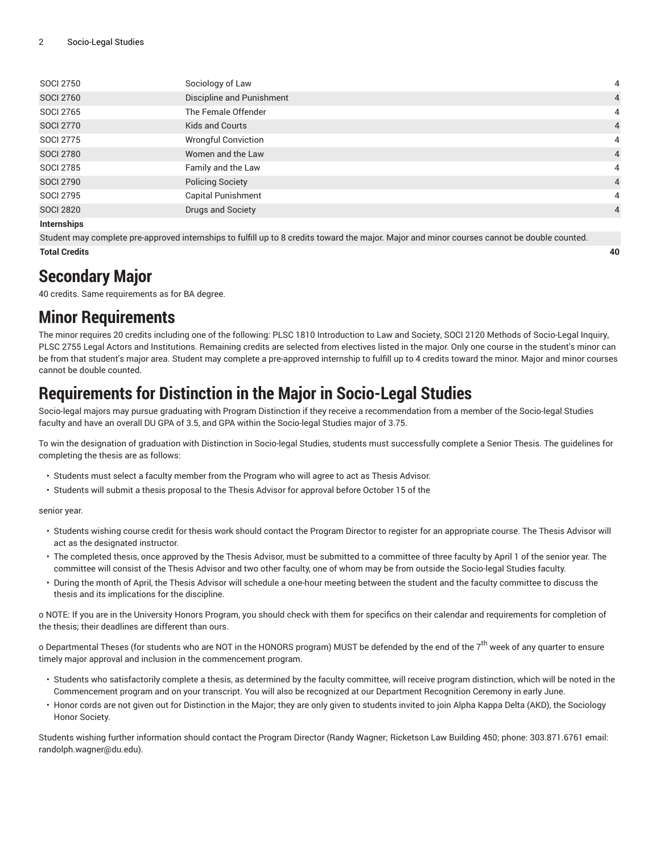| <b>SOCI 2750</b>   | Sociology of Law           | 4              |
|--------------------|----------------------------|----------------|
| <b>SOCI 2760</b>   | Discipline and Punishment  | $\overline{4}$ |
| <b>SOCI 2765</b>   | The Female Offender        | 4              |
| <b>SOCI 2770</b>   | Kids and Courts            | $\overline{4}$ |
| <b>SOCI 2775</b>   | <b>Wrongful Conviction</b> | 4              |
| <b>SOCI 2780</b>   | Women and the Law          | $\overline{4}$ |
| <b>SOCI 2785</b>   | Family and the Law         | 4              |
| <b>SOCI 2790</b>   | <b>Policing Society</b>    | $\overline{4}$ |
| <b>SOCI 2795</b>   | <b>Capital Punishment</b>  | 4              |
| <b>SOCI 2820</b>   | Drugs and Society          | $\overline{4}$ |
| <b>Internships</b> |                            |                |

Student may complete pre-approved internships to fulfill up to 8 credits toward the major. Major and minor courses cannot be double counted. **Total Credits 40**

# **Secondary Major**

40 credits. Same requirements as for BA degree.

# **Minor Requirements**

The minor requires 20 credits including one of the following: PLSC 1810 Introduction to Law and Society, SOCI 2120 Methods of Socio-Legal Inquiry, PLSC 2755 Legal Actors and Institutions. Remaining credits are selected from electives listed in the major. Only one course in the student's minor can be from that student's major area. Student may complete a pre-approved internship to fulfill up to 4 credits toward the minor. Major and minor courses cannot be double counted.

# **Requirements for Distinction in the Major in Socio-Legal Studies**

Socio-legal majors may pursue graduating with Program Distinction if they receive a recommendation from a member of the Socio-legal Studies faculty and have an overall DU GPA of 3.5, and GPA within the Socio-legal Studies major of 3.75.

To win the designation of graduation with Distinction in Socio-legal Studies, students must successfully complete a Senior Thesis. The guidelines for completing the thesis are as follows:

- Students must select a faculty member from the Program who will agree to act as Thesis Advisor.
- Students will submit a thesis proposal to the Thesis Advisor for approval before October 15 of the

senior year.

- Students wishing course credit for thesis work should contact the Program Director to register for an appropriate course. The Thesis Advisor will act as the designated instructor.
- The completed thesis, once approved by the Thesis Advisor, must be submitted to a committee of three faculty by April 1 of the senior year. The committee will consist of the Thesis Advisor and two other faculty, one of whom may be from outside the Socio-legal Studies faculty.
- During the month of April, the Thesis Advisor will schedule a one-hour meeting between the student and the faculty committee to discuss the thesis and its implications for the discipline.

o NOTE: If you are in the University Honors Program, you should check with them for specifics on their calendar and requirements for completion of the thesis; their deadlines are different than ours.

o Departmental Theses (for students who are NOT in the HONORS program) MUST be defended by the end of the 7<sup>th</sup> week of any quarter to ensure timely major approval and inclusion in the commencement program.

- Students who satisfactorily complete a thesis, as determined by the faculty committee, will receive program distinction, which will be noted in the Commencement program and on your transcript. You will also be recognized at our Department Recognition Ceremony in early June.
- Honor cords are not given out for Distinction in the Major; they are only given to students invited to join Alpha Kappa Delta (AKD), the Sociology Honor Society.

Students wishing further information should contact the Program Director (Randy Wagner; Ricketson Law Building 450; phone: 303.871.6761 email: randolph.wagner@du.edu).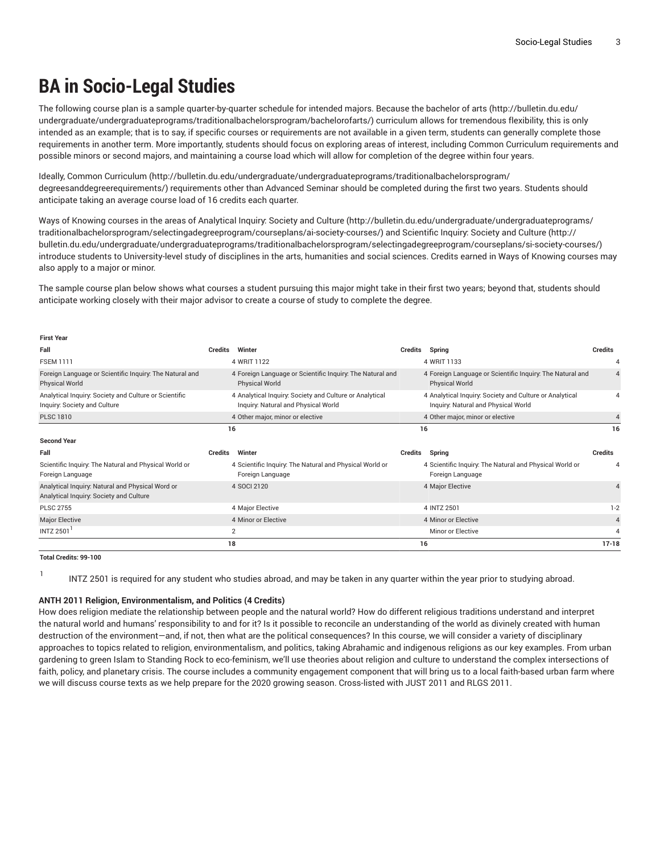# **BA in Socio-Legal Studies**

The following course plan is a sample quarter-by-quarter schedule for intended majors. Because the [bachelor](http://bulletin.du.edu/undergraduate/undergraduateprograms/traditionalbachelorsprogram/bachelorofarts/) of arts ([http://bulletin.du.edu/](http://bulletin.du.edu/undergraduate/undergraduateprograms/traditionalbachelorsprogram/bachelorofarts/) [undergraduate/undergraduateprograms/traditionalbachelorsprogram/bachelorofarts/](http://bulletin.du.edu/undergraduate/undergraduateprograms/traditionalbachelorsprogram/bachelorofarts/)) curriculum allows for tremendous flexibility, this is only intended as an example; that is to say, if specific courses or requirements are not available in a given term, students can generally complete those requirements in another term. More importantly, students should focus on exploring areas of interest, including Common Curriculum requirements and possible minors or second majors, and maintaining a course load which will allow for completion of the degree within four years.

Ideally, [Common Curriculum](http://bulletin.du.edu/undergraduate/undergraduateprograms/traditionalbachelorsprogram/degreesanddegreerequirements/) [\(http://bulletin.du.edu/undergraduate/undergraduateprograms/traditionalbachelorsprogram/](http://bulletin.du.edu/undergraduate/undergraduateprograms/traditionalbachelorsprogram/degreesanddegreerequirements/) [degreesanddegreerequirements/](http://bulletin.du.edu/undergraduate/undergraduateprograms/traditionalbachelorsprogram/degreesanddegreerequirements/)) requirements other than Advanced Seminar should be completed during the first two years. Students should anticipate taking an average course load of 16 credits each quarter.

Ways of Knowing courses in the areas of [Analytical](http://bulletin.du.edu/undergraduate/undergraduateprograms/traditionalbachelorsprogram/selectingadegreeprogram/courseplans/ai-society-courses/) Inquiry: Society and Culture [\(http://bulletin.du.edu/undergraduate/undergraduateprograms/](http://bulletin.du.edu/undergraduate/undergraduateprograms/traditionalbachelorsprogram/selectingadegreeprogram/courseplans/ai-society-courses/) [traditionalbachelorsprogram/selectingadegreeprogram/courseplans/ai-society-courses/](http://bulletin.du.edu/undergraduate/undergraduateprograms/traditionalbachelorsprogram/selectingadegreeprogram/courseplans/ai-society-courses/)) and [Scientific](http://bulletin.du.edu/undergraduate/undergraduateprograms/traditionalbachelorsprogram/selectingadegreeprogram/courseplans/si-society-courses/) Inquiry: Society and Culture ([http://](http://bulletin.du.edu/undergraduate/undergraduateprograms/traditionalbachelorsprogram/selectingadegreeprogram/courseplans/si-society-courses/) [bulletin.du.edu/undergraduate/undergraduateprograms/traditionalbachelorsprogram/selectingadegreeprogram/courseplans/si-society-courses/](http://bulletin.du.edu/undergraduate/undergraduateprograms/traditionalbachelorsprogram/selectingadegreeprogram/courseplans/si-society-courses/)) introduce students to University-level study of disciplines in the arts, humanities and social sciences. Credits earned in Ways of Knowing courses may also apply to a major or minor.

The sample course plan below shows what courses a student pursuing this major might take in their first two years; beyond that, students should anticipate working closely with their major advisor to create a course of study to complete the degree.

| rırsı rear                                                                                  |         |                                                                                                |         |                                                                                                |                |
|---------------------------------------------------------------------------------------------|---------|------------------------------------------------------------------------------------------------|---------|------------------------------------------------------------------------------------------------|----------------|
| Fall                                                                                        | Credits | Winter                                                                                         | Credits | Spring                                                                                         | <b>Credits</b> |
| <b>FSEM 1111</b>                                                                            |         | 4 WRIT 1122                                                                                    |         | 4 WRIT 1133                                                                                    |                |
| Foreign Language or Scientific Inquiry: The Natural and<br><b>Physical World</b>            |         | 4 Foreign Language or Scientific Inquiry: The Natural and<br><b>Physical World</b>             |         | 4 Foreign Language or Scientific Inquiry: The Natural and<br><b>Physical World</b>             |                |
| Analytical Inquiry: Society and Culture or Scientific<br>Inquiry: Society and Culture       |         | 4 Analytical Inquiry: Society and Culture or Analytical<br>Inquiry: Natural and Physical World |         | 4 Analytical Inquiry: Society and Culture or Analytical<br>Inquiry: Natural and Physical World |                |
| <b>PLSC 1810</b>                                                                            |         | 4 Other major, minor or elective                                                               |         | 4 Other major, minor or elective                                                               |                |
|                                                                                             |         | 16                                                                                             |         | 16                                                                                             | 16             |
| <b>Second Year</b>                                                                          |         |                                                                                                |         |                                                                                                |                |
| Fall                                                                                        | Credits | Winter                                                                                         | Credits | Spring                                                                                         | <b>Credits</b> |
| Scientific Inquiry: The Natural and Physical World or<br>Foreign Language                   |         | 4 Scientific Inquiry: The Natural and Physical World or<br>Foreign Language                    |         | 4 Scientific Inquiry: The Natural and Physical World or<br>Foreign Language                    |                |
| Analytical Inquiry: Natural and Physical Word or<br>Analytical Inquiry: Society and Culture |         | 4 SOCI 2120                                                                                    |         | 4 Major Elective                                                                               |                |
| <b>PLSC 2755</b>                                                                            |         | 4 Major Elective                                                                               |         | 4 INTZ 2501                                                                                    | $1 - 2$        |
| <b>Major Elective</b>                                                                       |         | 4 Minor or Elective                                                                            |         | 4 Minor or Elective                                                                            | 4              |
| <b>INTZ 2501</b>                                                                            |         | $\overline{2}$                                                                                 |         | Minor or Elective                                                                              | 4              |
|                                                                                             | 18      |                                                                                                |         | 16                                                                                             | $17 - 18$      |

**Total Credits: 99-100**

**First Year**

1

INTZ 2501 is required for any student who studies abroad, and may be taken in any quarter within the year prior to studying abroad.

# **ANTH 2011 Religion, Environmentalism, and Politics (4 Credits)**

How does religion mediate the relationship between people and the natural world? How do different religious traditions understand and interpret the natural world and humans' responsibility to and for it? Is it possible to reconcile an understanding of the world as divinely created with human destruction of the environment—and, if not, then what are the political consequences? In this course, we will consider a variety of disciplinary approaches to topics related to religion, environmentalism, and politics, taking Abrahamic and indigenous religions as our key examples. From urban gardening to green Islam to Standing Rock to eco-feminism, we'll use theories about religion and culture to understand the complex intersections of faith, policy, and planetary crisis. The course includes a community engagement component that will bring us to a local faith-based urban farm where we will discuss course texts as we help prepare for the 2020 growing season. Cross-listed with JUST 2011 and RLGS 2011.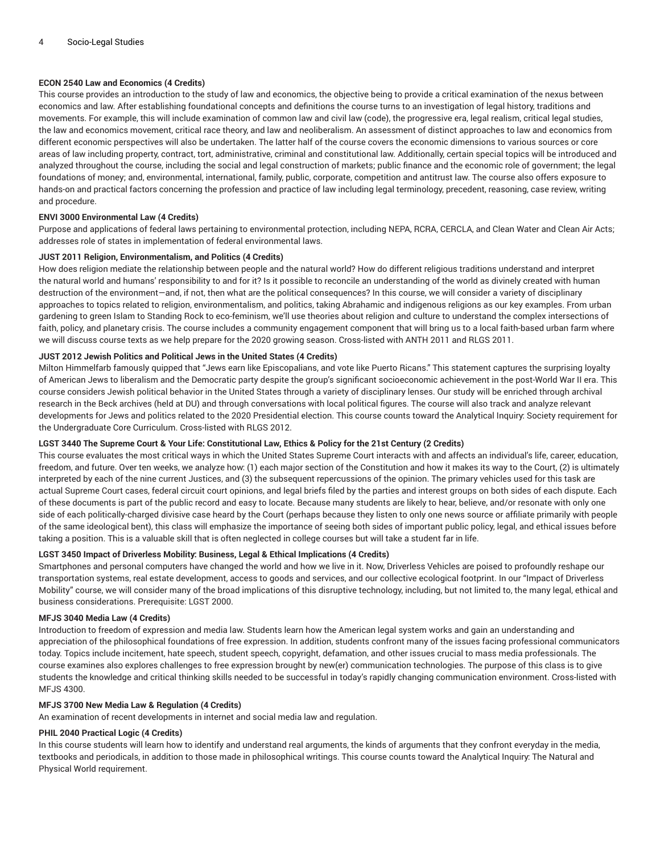# **ECON 2540 Law and Economics (4 Credits)**

This course provides an introduction to the study of law and economics, the objective being to provide a critical examination of the nexus between economics and law. After establishing foundational concepts and definitions the course turns to an investigation of legal history, traditions and movements. For example, this will include examination of common law and civil law (code), the progressive era, legal realism, critical legal studies, the law and economics movement, critical race theory, and law and neoliberalism. An assessment of distinct approaches to law and economics from different economic perspectives will also be undertaken. The latter half of the course covers the economic dimensions to various sources or core areas of law including property, contract, tort, administrative, criminal and constitutional law. Additionally, certain special topics will be introduced and analyzed throughout the course, including the social and legal construction of markets; public finance and the economic role of government; the legal foundations of money; and, environmental, international, family, public, corporate, competition and antitrust law. The course also offers exposure to hands-on and practical factors concerning the profession and practice of law including legal terminology, precedent, reasoning, case review, writing and procedure.

# **ENVI 3000 Environmental Law (4 Credits)**

Purpose and applications of federal laws pertaining to environmental protection, including NEPA, RCRA, CERCLA, and Clean Water and Clean Air Acts; addresses role of states in implementation of federal environmental laws.

# **JUST 2011 Religion, Environmentalism, and Politics (4 Credits)**

How does religion mediate the relationship between people and the natural world? How do different religious traditions understand and interpret the natural world and humans' responsibility to and for it? Is it possible to reconcile an understanding of the world as divinely created with human destruction of the environment—and, if not, then what are the political consequences? In this course, we will consider a variety of disciplinary approaches to topics related to religion, environmentalism, and politics, taking Abrahamic and indigenous religions as our key examples. From urban gardening to green Islam to Standing Rock to eco-feminism, we'll use theories about religion and culture to understand the complex intersections of faith, policy, and planetary crisis. The course includes a community engagement component that will bring us to a local faith-based urban farm where we will discuss course texts as we help prepare for the 2020 growing season. Cross-listed with ANTH 2011 and RLGS 2011.

# **JUST 2012 Jewish Politics and Political Jews in the United States (4 Credits)**

Milton Himmelfarb famously quipped that "Jews earn like Episcopalians, and vote like Puerto Ricans." This statement captures the surprising loyalty of American Jews to liberalism and the Democratic party despite the group's significant socioeconomic achievement in the post-World War II era. This course considers Jewish political behavior in the United States through a variety of disciplinary lenses. Our study will be enriched through archival research in the Beck archives (held at DU) and through conversations with local political figures. The course will also track and analyze relevant developments for Jews and politics related to the 2020 Presidential election. This course counts toward the Analytical Inquiry: Society requirement for the Undergraduate Core Curriculum. Cross-listed with RLGS 2012.

# LGST 3440 The Supreme Court & Your Life: Constitutional Law, Ethics & Policy for the 21st Century (2 Credits)

This course evaluates the most critical ways in which the United States Supreme Court interacts with and affects an individual's life, career, education, freedom, and future. Over ten weeks, we analyze how: (1) each major section of the Constitution and how it makes its way to the Court, (2) is ultimately interpreted by each of the nine current Justices, and (3) the subsequent repercussions of the opinion. The primary vehicles used for this task are actual Supreme Court cases, federal circuit court opinions, and legal briefs filed by the parties and interest groups on both sides of each dispute. Each of these documents is part of the public record and easy to locate. Because many students are likely to hear, believe, and/or resonate with only one side of each politically-charged divisive case heard by the Court (perhaps because they listen to only one news source or affiliate primarily with people of the same ideological bent), this class will emphasize the importance of seeing both sides of important public policy, legal, and ethical issues before taking a position. This is a valuable skill that is often neglected in college courses but will take a student far in life.

# **LGST 3450 Impact of Driverless Mobility: Business, Legal & Ethical Implications (4 Credits)**

Smartphones and personal computers have changed the world and how we live in it. Now, Driverless Vehicles are poised to profoundly reshape our transportation systems, real estate development, access to goods and services, and our collective ecological footprint. In our "Impact of Driverless Mobility" course, we will consider many of the broad implications of this disruptive technology, including, but not limited to, the many legal, ethical and business considerations. Prerequisite: LGST 2000.

# **MFJS 3040 Media Law (4 Credits)**

Introduction to freedom of expression and media law. Students learn how the American legal system works and gain an understanding and appreciation of the philosophical foundations of free expression. In addition, students confront many of the issues facing professional communicators today. Topics include incitement, hate speech, student speech, copyright, defamation, and other issues crucial to mass media professionals. The course examines also explores challenges to free expression brought by new(er) communication technologies. The purpose of this class is to give students the knowledge and critical thinking skills needed to be successful in today's rapidly changing communication environment. Cross-listed with MFJS 4300.

# **MFJS 3700 New Media Law & Regulation (4 Credits)**

An examination of recent developments in internet and social media law and regulation.

# **PHIL 2040 Practical Logic (4 Credits)**

In this course students will learn how to identify and understand real arguments, the kinds of arguments that they confront everyday in the media, textbooks and periodicals, in addition to those made in philosophical writings. This course counts toward the Analytical Inquiry: The Natural and Physical World requirement.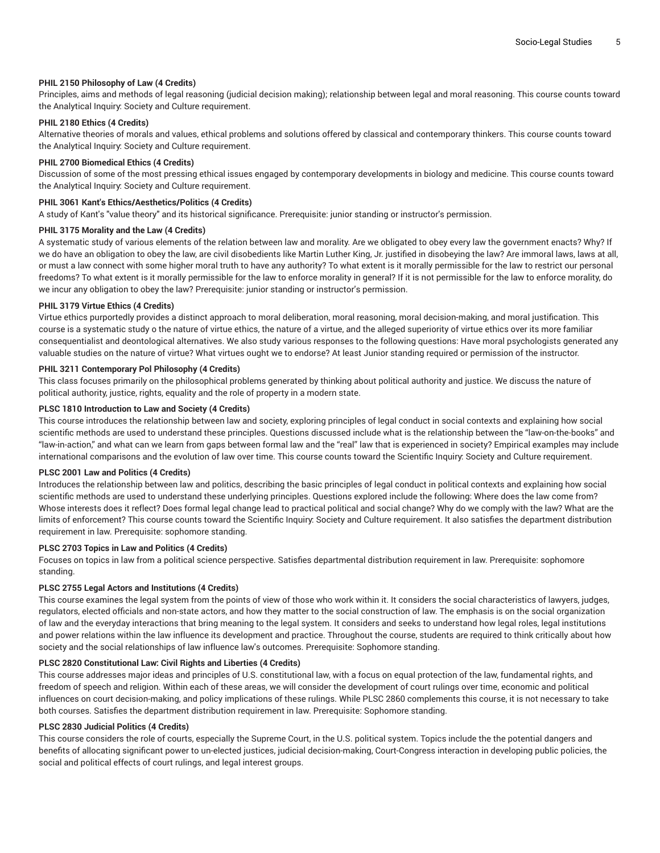# **PHIL 2150 Philosophy of Law (4 Credits)**

Principles, aims and methods of legal reasoning (judicial decision making); relationship between legal and moral reasoning. This course counts toward the Analytical Inquiry: Society and Culture requirement.

# **PHIL 2180 Ethics (4 Credits)**

Alternative theories of morals and values, ethical problems and solutions offered by classical and contemporary thinkers. This course counts toward the Analytical Inquiry: Society and Culture requirement.

#### **PHIL 2700 Biomedical Ethics (4 Credits)**

Discussion of some of the most pressing ethical issues engaged by contemporary developments in biology and medicine. This course counts toward the Analytical Inquiry: Society and Culture requirement.

#### **PHIL 3061 Kant's Ethics/Aesthetics/Politics (4 Credits)**

A study of Kant's "value theory" and its historical significance. Prerequisite: junior standing or instructor's permission.

# **PHIL 3175 Morality and the Law (4 Credits)**

A systematic study of various elements of the relation between law and morality. Are we obligated to obey every law the government enacts? Why? If we do have an obligation to obey the law, are civil disobedients like Martin Luther King, Jr. justified in disobeying the law? Are immoral laws, laws at all, or must a law connect with some higher moral truth to have any authority? To what extent is it morally permissible for the law to restrict our personal freedoms? To what extent is it morally permissible for the law to enforce morality in general? If it is not permissible for the law to enforce morality, do we incur any obligation to obey the law? Prerequisite: junior standing or instructor's permission.

#### **PHIL 3179 Virtue Ethics (4 Credits)**

Virtue ethics purportedly provides a distinct approach to moral deliberation, moral reasoning, moral decision-making, and moral justification. This course is a systematic study o the nature of virtue ethics, the nature of a virtue, and the alleged superiority of virtue ethics over its more familiar consequentialist and deontological alternatives. We also study various responses to the following questions: Have moral psychologists generated any valuable studies on the nature of virtue? What virtues ought we to endorse? At least Junior standing required or permission of the instructor.

#### **PHIL 3211 Contemporary Pol Philosophy (4 Credits)**

This class focuses primarily on the philosophical problems generated by thinking about political authority and justice. We discuss the nature of political authority, justice, rights, equality and the role of property in a modern state.

#### **PLSC 1810 Introduction to Law and Society (4 Credits)**

This course introduces the relationship between law and society, exploring principles of legal conduct in social contexts and explaining how social scientific methods are used to understand these principles. Questions discussed include what is the relationship between the "law-on-the-books" and "law-in-action," and what can we learn from gaps between formal law and the "real" law that is experienced in society? Empirical examples may include international comparisons and the evolution of law over time. This course counts toward the Scientific Inquiry: Society and Culture requirement.

# **PLSC 2001 Law and Politics (4 Credits)**

Introduces the relationship between law and politics, describing the basic principles of legal conduct in political contexts and explaining how social scientific methods are used to understand these underlying principles. Questions explored include the following: Where does the law come from? Whose interests does it reflect? Does formal legal change lead to practical political and social change? Why do we comply with the law? What are the limits of enforcement? This course counts toward the Scientific Inquiry: Society and Culture requirement. It also satisfies the department distribution requirement in law. Prerequisite: sophomore standing.

#### **PLSC 2703 Topics in Law and Politics (4 Credits)**

Focuses on topics in law from a political science perspective. Satisfies departmental distribution requirement in law. Prerequisite: sophomore standing.

#### **PLSC 2755 Legal Actors and Institutions (4 Credits)**

This course examines the legal system from the points of view of those who work within it. It considers the social characteristics of lawyers, judges, regulators, elected officials and non-state actors, and how they matter to the social construction of law. The emphasis is on the social organization of law and the everyday interactions that bring meaning to the legal system. It considers and seeks to understand how legal roles, legal institutions and power relations within the law influence its development and practice. Throughout the course, students are required to think critically about how society and the social relationships of law influence law's outcomes. Prerequisite: Sophomore standing.

# **PLSC 2820 Constitutional Law: Civil Rights and Liberties (4 Credits)**

This course addresses major ideas and principles of U.S. constitutional law, with a focus on equal protection of the law, fundamental rights, and freedom of speech and religion. Within each of these areas, we will consider the development of court rulings over time, economic and political influences on court decision-making, and policy implications of these rulings. While PLSC 2860 complements this course, it is not necessary to take both courses. Satisfies the department distribution requirement in law. Prerequisite: Sophomore standing.

#### **PLSC 2830 Judicial Politics (4 Credits)**

This course considers the role of courts, especially the Supreme Court, in the U.S. political system. Topics include the the potential dangers and benefits of allocating significant power to un-elected justices, judicial decision-making, Court-Congress interaction in developing public policies, the social and political effects of court rulings, and legal interest groups.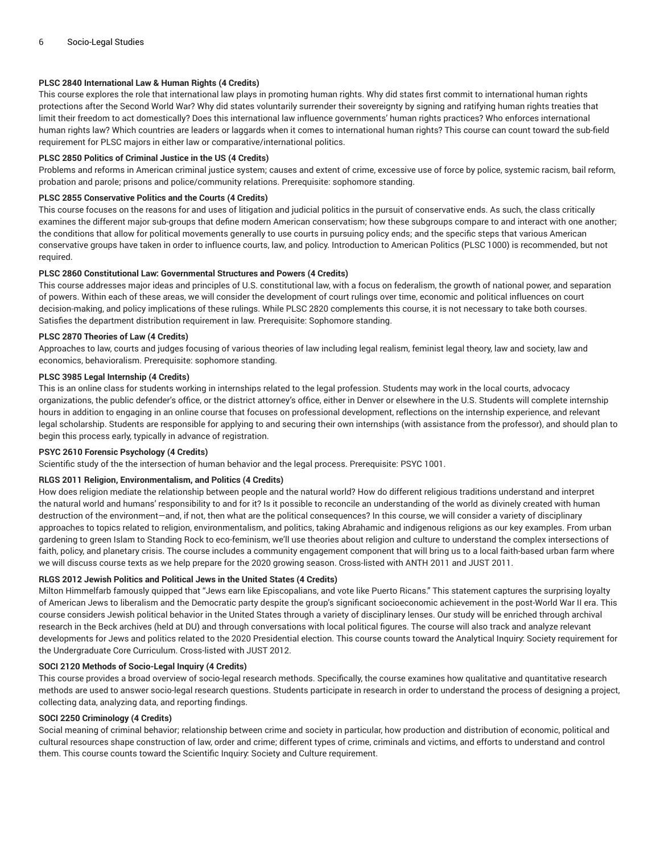# **PLSC 2840 International Law & Human Rights (4 Credits)**

This course explores the role that international law plays in promoting human rights. Why did states first commit to international human rights protections after the Second World War? Why did states voluntarily surrender their sovereignty by signing and ratifying human rights treaties that limit their freedom to act domestically? Does this international law influence governments' human rights practices? Who enforces international human rights law? Which countries are leaders or laggards when it comes to international human rights? This course can count toward the sub-field requirement for PLSC majors in either law or comparative/international politics.

# **PLSC 2850 Politics of Criminal Justice in the US (4 Credits)**

Problems and reforms in American criminal justice system; causes and extent of crime, excessive use of force by police, systemic racism, bail reform, probation and parole; prisons and police/community relations. Prerequisite: sophomore standing.

#### **PLSC 2855 Conservative Politics and the Courts (4 Credits)**

This course focuses on the reasons for and uses of litigation and judicial politics in the pursuit of conservative ends. As such, the class critically examines the different major sub-groups that define modern American conservatism; how these subgroups compare to and interact with one another; the conditions that allow for political movements generally to use courts in pursuing policy ends; and the specific steps that various American conservative groups have taken in order to influence courts, law, and policy. Introduction to American Politics (PLSC 1000) is recommended, but not required.

### **PLSC 2860 Constitutional Law: Governmental Structures and Powers (4 Credits)**

This course addresses major ideas and principles of U.S. constitutional law, with a focus on federalism, the growth of national power, and separation of powers. Within each of these areas, we will consider the development of court rulings over time, economic and political influences on court decision-making, and policy implications of these rulings. While PLSC 2820 complements this course, it is not necessary to take both courses. Satisfies the department distribution requirement in law. Prerequisite: Sophomore standing.

#### **PLSC 2870 Theories of Law (4 Credits)**

Approaches to law, courts and judges focusing of various theories of law including legal realism, feminist legal theory, law and society, law and economics, behavioralism. Prerequisite: sophomore standing.

# **PLSC 3985 Legal Internship (4 Credits)**

This is an online class for students working in internships related to the legal profession. Students may work in the local courts, advocacy organizations, the public defender's office, or the district attorney's office, either in Denver or elsewhere in the U.S. Students will complete internship hours in addition to engaging in an online course that focuses on professional development, reflections on the internship experience, and relevant legal scholarship. Students are responsible for applying to and securing their own internships (with assistance from the professor), and should plan to begin this process early, typically in advance of registration.

#### **PSYC 2610 Forensic Psychology (4 Credits)**

Scientific study of the the intersection of human behavior and the legal process. Prerequisite: PSYC 1001.

#### **RLGS 2011 Religion, Environmentalism, and Politics (4 Credits)**

How does religion mediate the relationship between people and the natural world? How do different religious traditions understand and interpret the natural world and humans' responsibility to and for it? Is it possible to reconcile an understanding of the world as divinely created with human destruction of the environment—and, if not, then what are the political consequences? In this course, we will consider a variety of disciplinary approaches to topics related to religion, environmentalism, and politics, taking Abrahamic and indigenous religions as our key examples. From urban gardening to green Islam to Standing Rock to eco-feminism, we'll use theories about religion and culture to understand the complex intersections of faith, policy, and planetary crisis. The course includes a community engagement component that will bring us to a local faith-based urban farm where we will discuss course texts as we help prepare for the 2020 growing season. Cross-listed with ANTH 2011 and JUST 2011.

# **RLGS 2012 Jewish Politics and Political Jews in the United States (4 Credits)**

Milton Himmelfarb famously quipped that "Jews earn like Episcopalians, and vote like Puerto Ricans." This statement captures the surprising loyalty of American Jews to liberalism and the Democratic party despite the group's significant socioeconomic achievement in the post-World War II era. This course considers Jewish political behavior in the United States through a variety of disciplinary lenses. Our study will be enriched through archival research in the Beck archives (held at DU) and through conversations with local political figures. The course will also track and analyze relevant developments for Jews and politics related to the 2020 Presidential election. This course counts toward the Analytical Inquiry: Society requirement for the Undergraduate Core Curriculum. Cross-listed with JUST 2012.

#### **SOCI 2120 Methods of Socio-Legal Inquiry (4 Credits)**

This course provides a broad overview of socio-legal research methods. Specifically, the course examines how qualitative and quantitative research methods are used to answer socio-legal research questions. Students participate in research in order to understand the process of designing a project, collecting data, analyzing data, and reporting findings.

### **SOCI 2250 Criminology (4 Credits)**

Social meaning of criminal behavior; relationship between crime and society in particular, how production and distribution of economic, political and cultural resources shape construction of law, order and crime; different types of crime, criminals and victims, and efforts to understand and control them. This course counts toward the Scientific Inquiry: Society and Culture requirement.